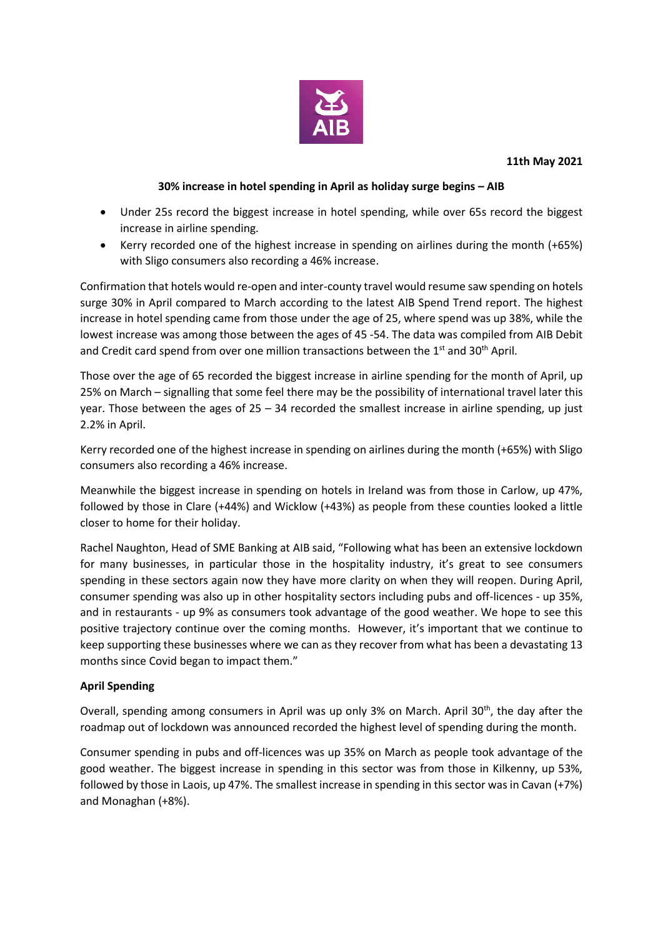

#### **30% increase in hotel spending in April as holiday surge begins – AIB**

- Under 25s record the biggest increase in hotel spending, while over 65s record the biggest increase in airline spending.
- Kerry recorded one of the highest increase in spending on airlines during the month (+65%) with Sligo consumers also recording a 46% increase.

Confirmation that hotels would re-open and inter-county travel would resume saw spending on hotels surge 30% in April compared to March according to the latest AIB Spend Trend report. The highest increase in hotel spending came from those under the age of 25, where spend was up 38%, while the lowest increase was among those between the ages of 45 -54. The data was compiled from AIB Debit and Credit card spend from over one million transactions between the  $1<sup>st</sup>$  and  $30<sup>th</sup>$  April.

Those over the age of 65 recorded the biggest increase in airline spending for the month of April, up 25% on March – signalling that some feel there may be the possibility of international travel later this year. Those between the ages of  $25 - 34$  recorded the smallest increase in airline spending, up just 2.2% in April.

Kerry recorded one of the highest increase in spending on airlines during the month (+65%) with Sligo consumers also recording a 46% increase.

Meanwhile the biggest increase in spending on hotels in Ireland was from those in Carlow, up 47%, followed by those in Clare (+44%) and Wicklow (+43%) as people from these counties looked a little closer to home for their holiday.

Rachel Naughton, Head of SME Banking at AIB said, "Following what has been an extensive lockdown for many businesses, in particular those in the hospitality industry, it's great to see consumers spending in these sectors again now they have more clarity on when they will reopen. During April, consumer spending was also up in other hospitality sectors including pubs and off-licences - up 35%, and in restaurants - up 9% as consumers took advantage of the good weather. We hope to see this positive trajectory continue over the coming months. However, it's important that we continue to keep supporting these businesses where we can as they recover from what has been a devastating 13 months since Covid began to impact them."

#### **April Spending**

Overall, spending among consumers in April was up only 3% on March. April 30th, the day after the roadmap out of lockdown was announced recorded the highest level of spending during the month.

Consumer spending in pubs and off-licences was up 35% on March as people took advantage of the good weather. The biggest increase in spending in this sector was from those in Kilkenny, up 53%, followed by those in Laois, up 47%. The smallest increase in spending in this sector was in Cavan (+7%) and Monaghan (+8%).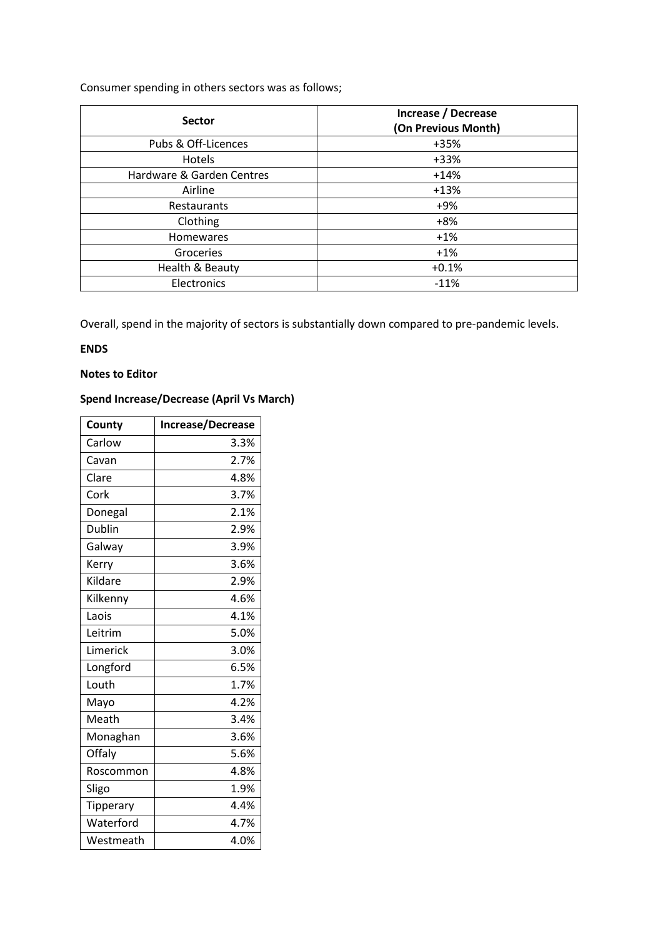# Consumer spending in others sectors was as follows;

| <b>Sector</b>             | Increase / Decrease<br>(On Previous Month) |
|---------------------------|--------------------------------------------|
| Pubs & Off-Licences       | +35%                                       |
| Hotels                    | +33%                                       |
| Hardware & Garden Centres | $+14%$                                     |
| Airline                   | $+13%$                                     |
| Restaurants               | +9%                                        |
| Clothing                  | $+8%$                                      |
| <b>Homewares</b>          | $+1%$                                      |
| Groceries                 | $+1%$                                      |
| Health & Beauty           | $+0.1%$                                    |
| Electronics               | $-11%$                                     |

Overall, spend in the majority of sectors is substantially down compared to pre-pandemic levels.

## **ENDS**

## **Notes to Editor**

# **Spend Increase/Decrease (April Vs March)**

| County        | <b>Increase/Decrease</b> |
|---------------|--------------------------|
| Carlow        | 3.3%                     |
| Cavan         | 2.7%                     |
| Clare         | 4.8%                     |
| Cork          | 3.7%                     |
| Donegal       | 2.1%                     |
| <b>Dublin</b> | 2.9%                     |
| Galway        | 3.9%                     |
| Kerry         | 3.6%                     |
| Kildare       | 2.9%                     |
| Kilkenny      | 4.6%                     |
| Laois         | 4.1%                     |
| Leitrim       | 5.0%                     |
| Limerick      | 3.0%                     |
| Longford      | 6.5%                     |
| Louth         | 1.7%                     |
| Mayo          | 4.2%                     |
| Meath         | 3.4%                     |
| Monaghan      | 3.6%                     |
| Offaly        | 5.6%                     |
| Roscommon     | 4.8%                     |
| Sligo         | 1.9%                     |
| Tipperary     | 4.4%                     |
| Waterford     | 4.7%                     |
| Westmeath     | 4.0%                     |